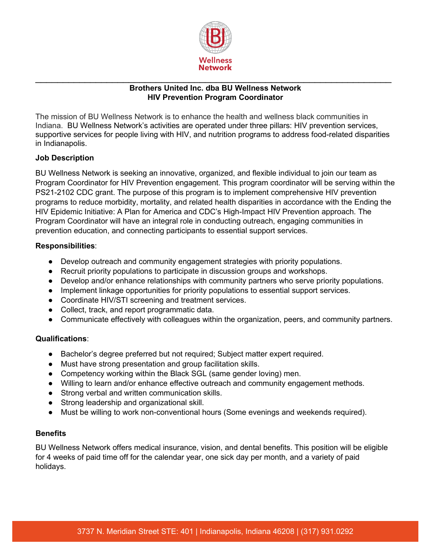

# \_\_\_\_\_\_\_\_\_\_\_\_\_\_\_\_\_\_\_\_\_\_\_\_\_\_\_\_\_\_\_\_\_\_\_\_\_\_\_\_\_\_\_\_\_\_\_\_\_\_\_\_\_\_\_\_\_\_\_\_\_\_\_\_\_ **Brothers United Inc. dba BU Wellness Network HIV Prevention Program Coordinator**

The mission of BU Wellness Network is to enhance the health and wellness black communities in Indiana. BU Wellness Network's activities are operated under three pillars: HIV prevention services, supportive services for people living with HIV, and nutrition programs to address food-related disparities in Indianapolis.

# **Job Description**

BU Wellness Network is seeking an innovative, organized, and flexible individual to join our team as Program Coordinator for HIV Prevention engagement. This program coordinator will be serving within the PS21-2102 CDC grant. The purpose of this program is to implement comprehensive HIV prevention programs to reduce morbidity, mortality, and related health disparities in accordance with the Ending the HIV Epidemic Initiative: A Plan for America and CDC's High-Impact HIV Prevention approach. The Program Coordinator will have an integral role in conducting outreach, engaging communities in prevention education, and connecting participants to essential support services.

## **Responsibilities**:

- Develop outreach and community engagement strategies with priority populations.
- Recruit priority populations to participate in discussion groups and workshops.
- Develop and/or enhance relationships with community partners who serve priority populations.
- Implement linkage opportunities for priority populations to essential support services.
- Coordinate HIV/STI screening and treatment services.
- Collect, track, and report programmatic data.
- Communicate effectively with colleagues within the organization, peers, and community partners.

## **Qualifications**:

- Bachelor's degree preferred but not required; Subject matter expert required.
- Must have strong presentation and group facilitation skills.
- Competency working within the Black SGL (same gender loving) men.
- Willing to learn and/or enhance effective outreach and community engagement methods.
- Strong verbal and written communication skills.
- Strong leadership and organizational skill.
- Must be willing to work non-conventional hours (Some evenings and weekends required).

# **Benefits**

BU Wellness Network offers medical insurance, vision, and dental benefits. This position will be eligible for 4 weeks of paid time off for the calendar year, one sick day per month, and a variety of paid holidays.